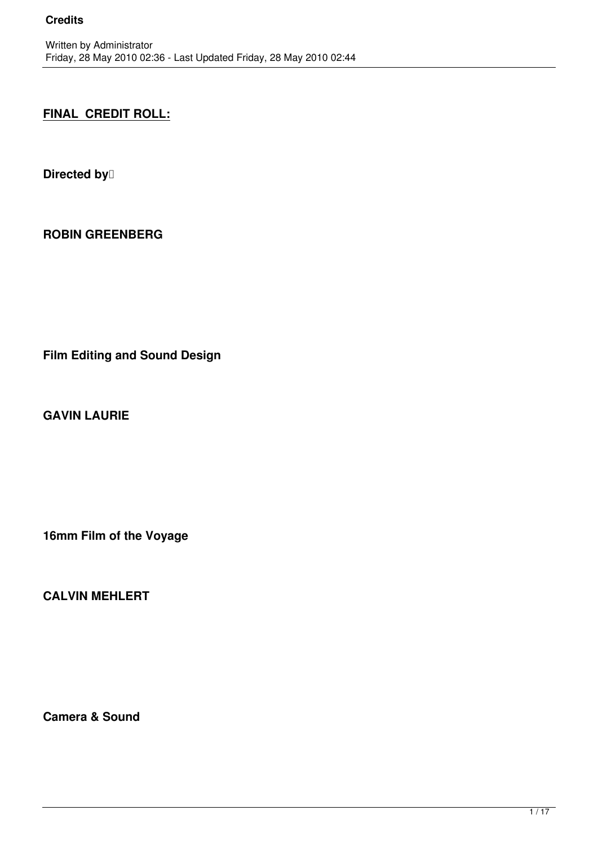# **FINAL CREDIT ROLL:**

**Directed by** 

**ROBIN GREENBERG**

**Film Editing and Sound Design**

**GAVIN LAURIE**

**16mm Film of the Voyage**

**CALVIN MEHLERT**

**Camera & Sound**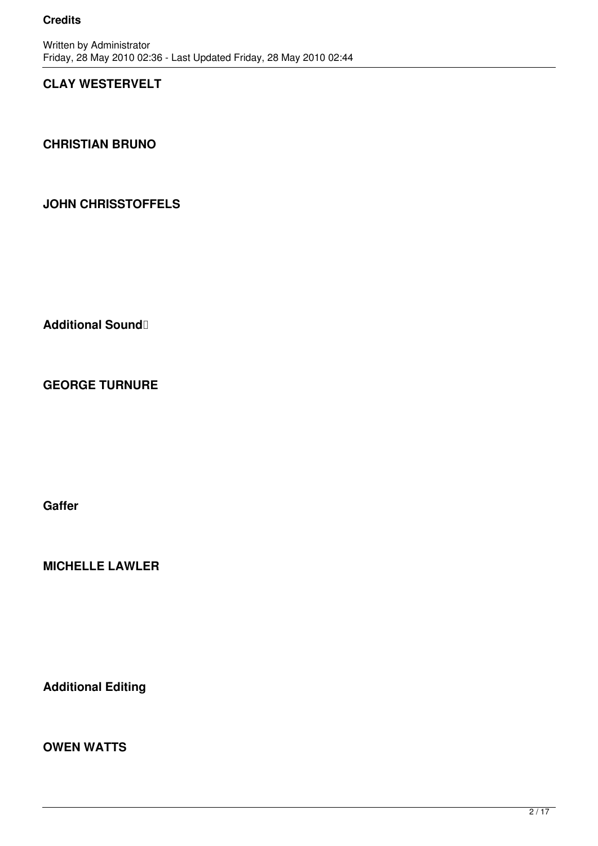## **CLAY WESTERVELT**

**CHRISTIAN BRUNO**

## **JOHN CHRISSTOFFELS**

Additional Sound **1** 

**GEORGE TURNURE**

**Gaffer**

**MICHELLE LAWLER**

**Additional Editing**

**OWEN WATTS**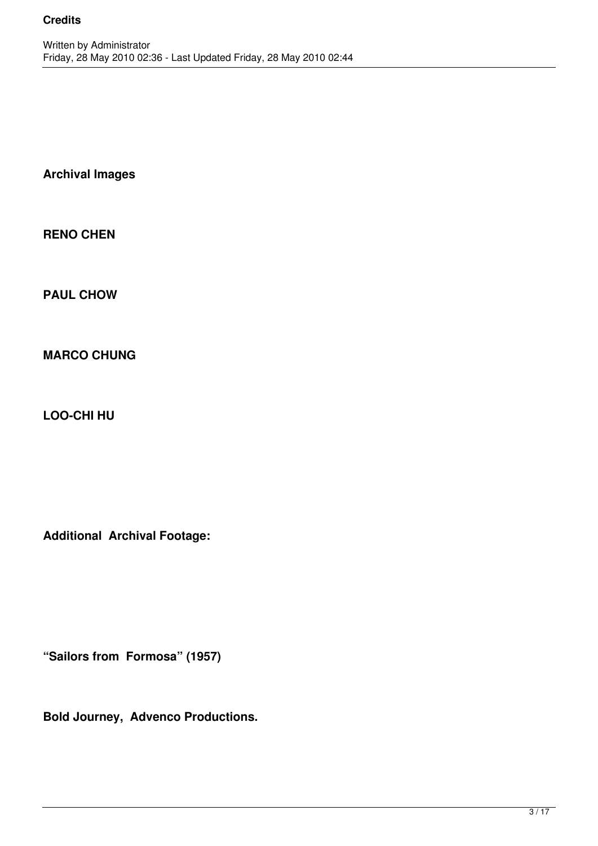**Archival Images**

**RENO CHEN**

**PAUL CHOW**

**MARCO CHUNG**

**LOO-CHI HU**

**Additional Archival Footage:**

**"Sailors from Formosa" (1957)**

**Bold Journey, Advenco Productions.**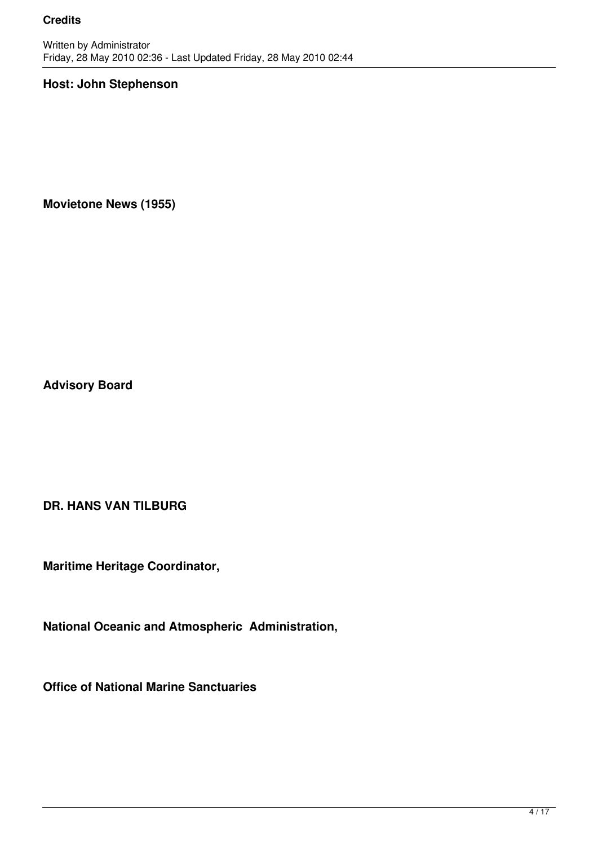#### **Host: John Stephenson**

**Movietone News (1955)**

**Advisory Board**

**DR. HANS VAN TILBURG**

**Maritime Heritage Coordinator,**

**National Oceanic and Atmospheric Administration,**

**Office of National Marine Sanctuaries**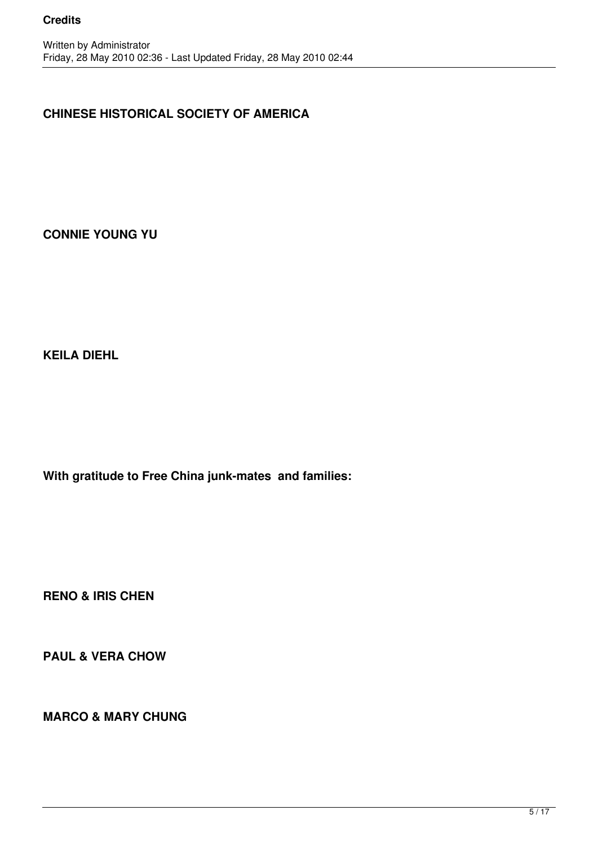## **CHINESE HISTORICAL SOCIETY OF AMERICA**

**CONNIE YOUNG YU**

**KEILA DIEHL**

**With gratitude to Free China junk-mates and families:**

**RENO & IRIS CHEN**

**PAUL & VERA CHOW**

**MARCO & MARY CHUNG**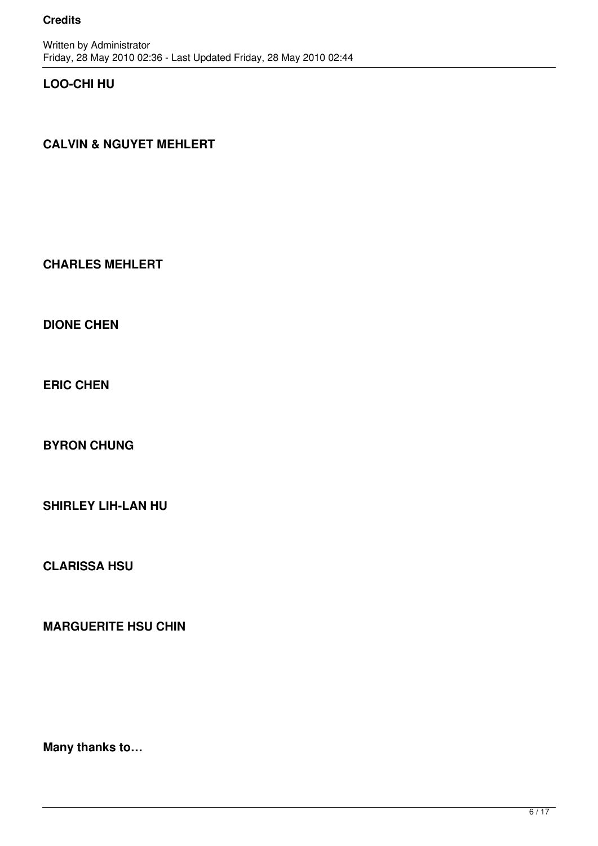### **LOO-CHI HU**

## **CALVIN & NGUYET MEHLERT**

#### **CHARLES MEHLERT**

**DIONE CHEN**

**ERIC CHEN**

**BYRON CHUNG**

**SHIRLEY LIH-LAN HU**

**CLARISSA HSU**

**MARGUERITE HSU CHIN**

**Many thanks to…**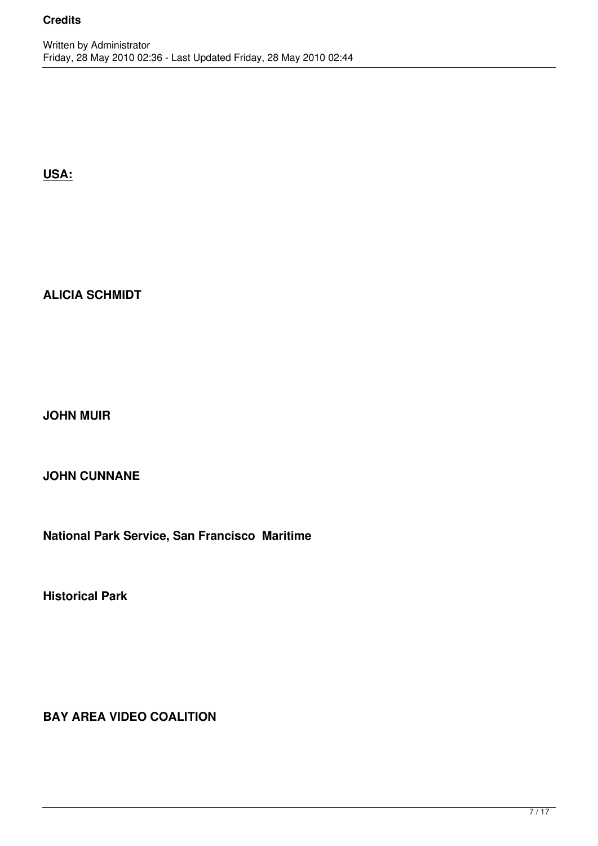**USA:**

## **ALICIA SCHMIDT**

**JOHN MUIR** 

**JOHN CUNNANE**

**National Park Service, San Francisco Maritime** 

**Historical Park**

**BAY AREA VIDEO COALITION**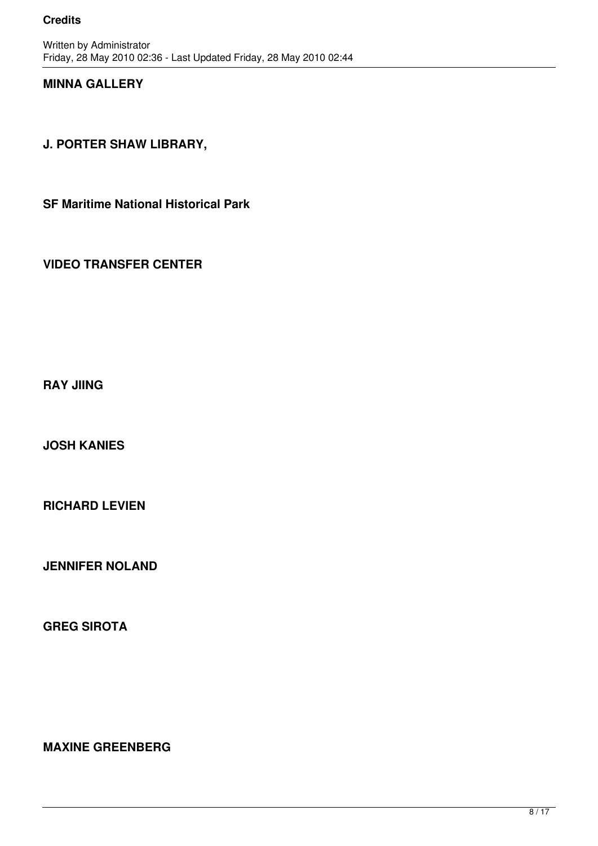### **MINNA GALLERY**

**J. PORTER SHAW LIBRARY,** 

**SF Maritime National Historical Park** 

**VIDEO TRANSFER CENTER**

**RAY JIING**

**JOSH KANIES** 

**RICHARD LEVIEN**

**JENNIFER NOLAND**

**GREG SIROTA**

**MAXINE GREENBERG**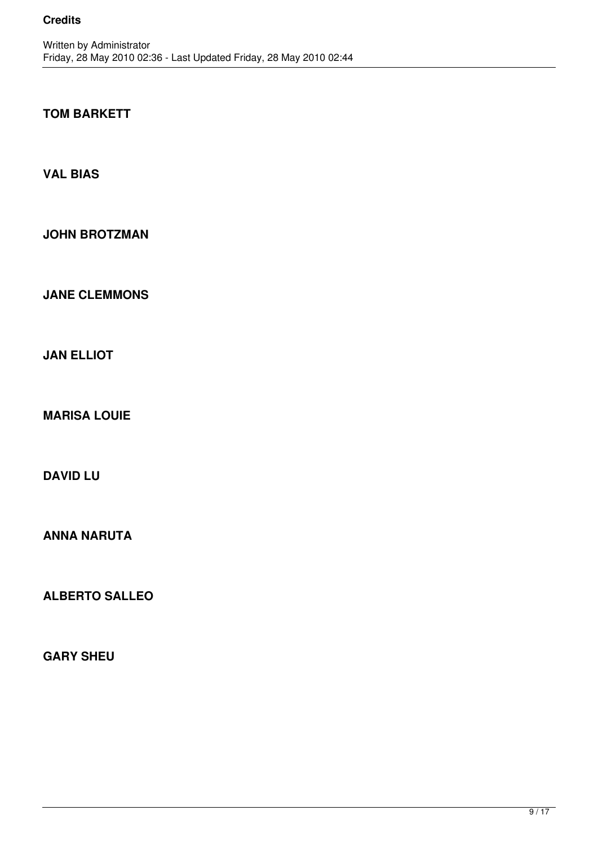## **TOM BARKETT**

**VAL BIAS**

**JOHN BROTZMAN**

**JANE CLEMMONS**

**JAN ELLIOT**

**MARISA LOUIE**

**DAVID LU**

**ANNA NARUTA**

**ALBERTO SALLEO**

**GARY SHEU**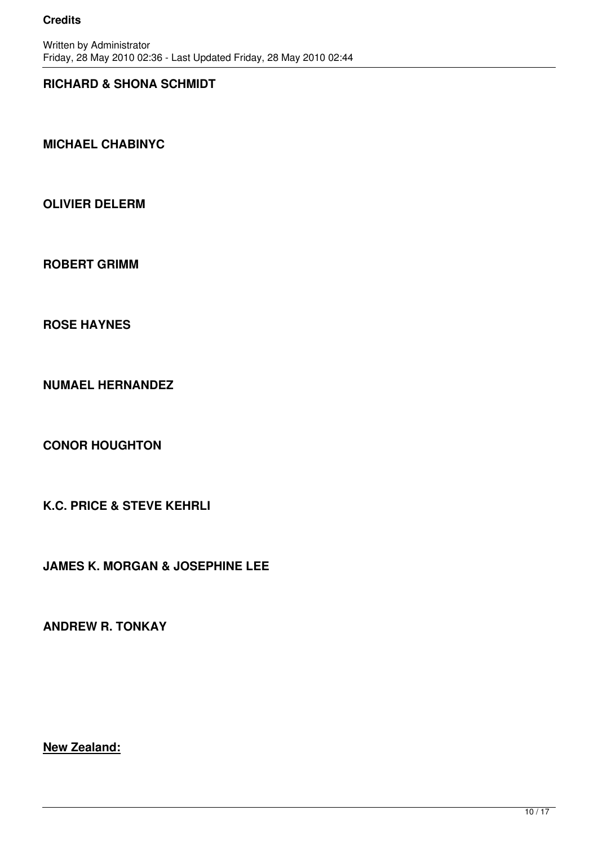### **RICHARD & SHONA SCHMIDT**

**MICHAEL CHABINYC** 

**OLIVIER DELERM**

**ROBERT GRIMM**

**ROSE HAYNES**

**NUMAEL HERNANDEZ**

**CONOR HOUGHTON**

**K.C. PRICE & STEVE KEHRLI**

**JAMES K. MORGAN & JOSEPHINE LEE**

**ANDREW R. TONKAY** 

**New Zealand:**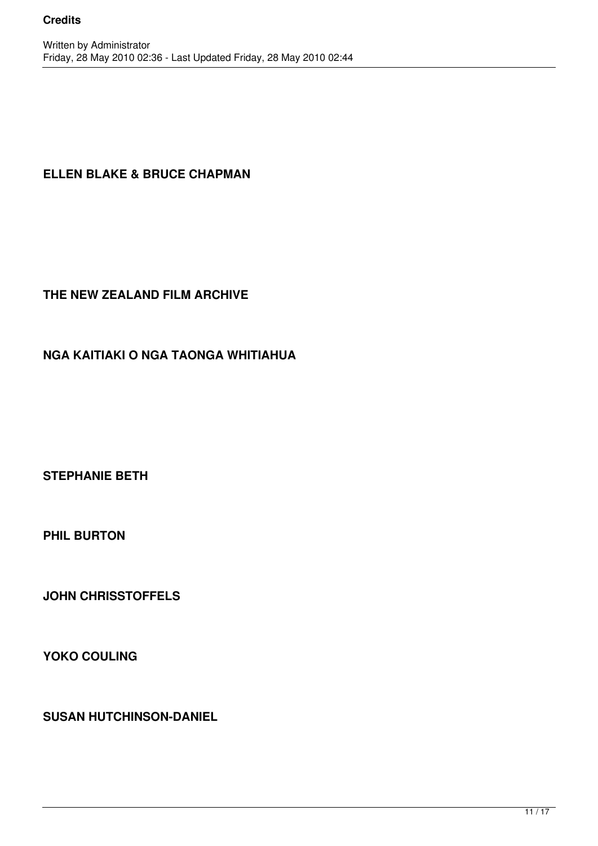## **ELLEN BLAKE & BRUCE CHAPMAN**

### **THE NEW ZEALAND FILM ARCHIVE**

## **NGA KAITIAKI O NGA TAONGA WHITIAHUA**

**STEPHANIE BETH**

**PHIL BURTON**

**JOHN CHRISSTOFFELS**

**YOKO COULING**

**SUSAN HUTCHINSON-DANIEL**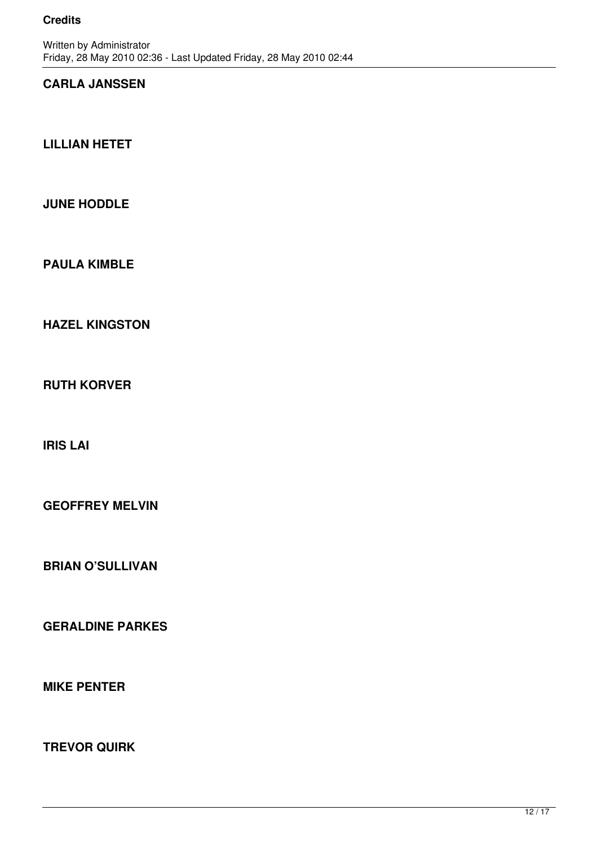## **CARLA JANSSEN**

**LILLIAN HETET**

### **JUNE HODDLE**

**PAULA KIMBLE**

**HAZEL KINGSTON**

**RUTH KORVER**

**IRIS LAI** 

**GEOFFREY MELVIN**

**BRIAN O'SULLIVAN**

**GERALDINE PARKES**

**MIKE PENTER** 

**TREVOR QUIRK**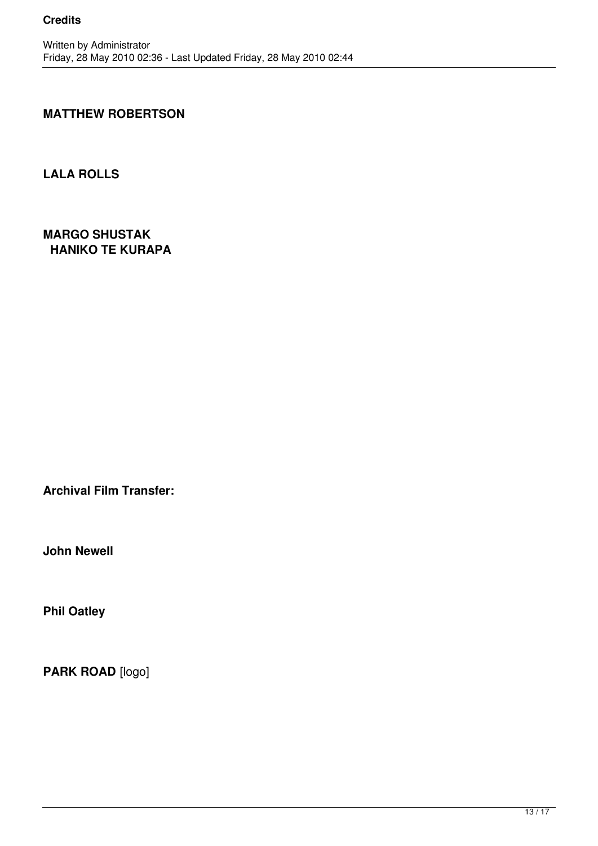### **MATTHEW ROBERTSON**

**LALA ROLLS**

**MARGO SHUSTAK HANIKO TE KURAPA**

**Archival Film Transfer:**

**John Newell**

**Phil Oatley**

PARK ROAD [logo]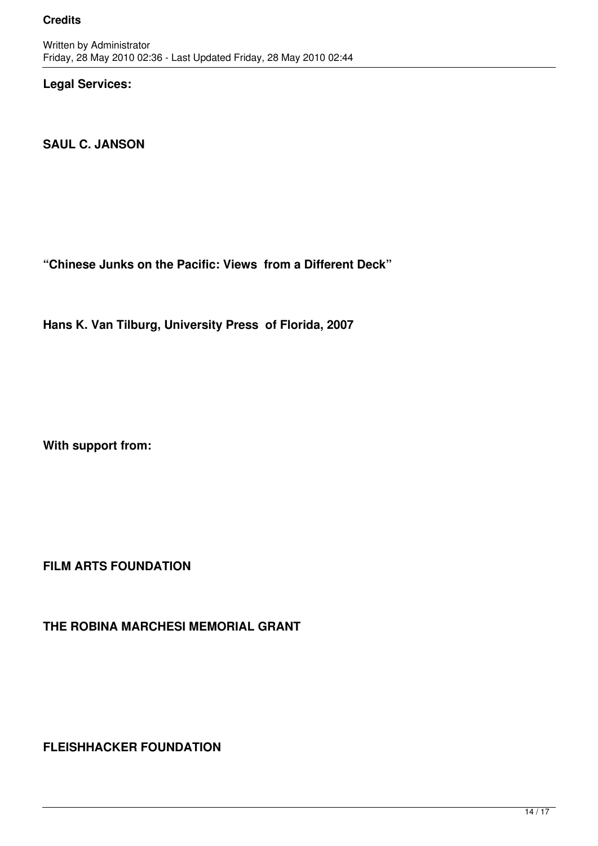**Legal Services:**

**SAUL C. JANSON**

**"Chinese Junks on the Pacific: Views from a Different Deck"**

**Hans K. Van Tilburg, University Press of Florida, 2007**

**With support from:**

**FILM ARTS FOUNDATION** 

**THE ROBINA MARCHESI MEMORIAL GRANT**

**FLEISHHACKER FOUNDATION**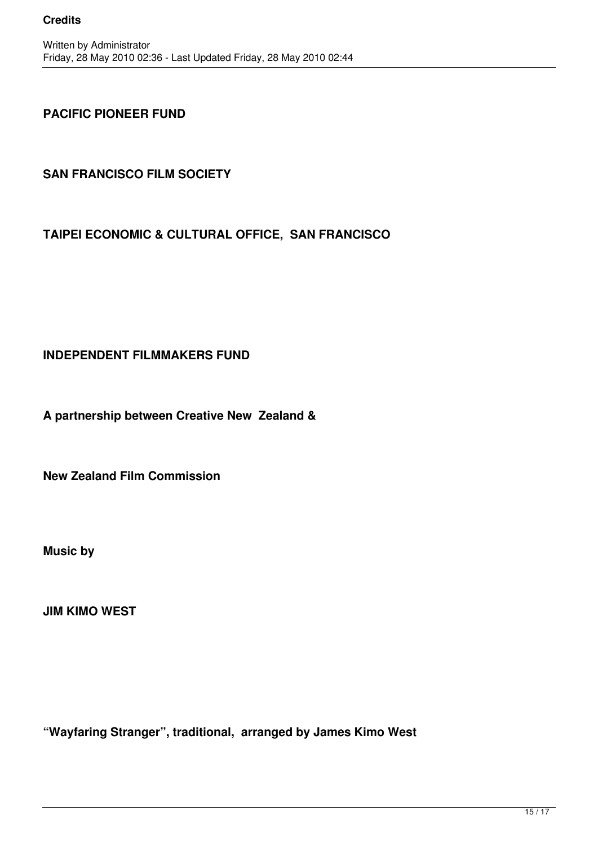### **PACIFIC PIONEER FUND**

## **SAN FRANCISCO FILM SOCIETY**

## **TAIPEI ECONOMIC & CULTURAL OFFICE, SAN FRANCISCO**

### **INDEPENDENT FILMMAKERS FUND**

**A partnership between Creative New Zealand &** 

**New Zealand Film Commission**

**Music by**

**JIM KIMO WEST**

**"Wayfaring Stranger", traditional, arranged by James Kimo West**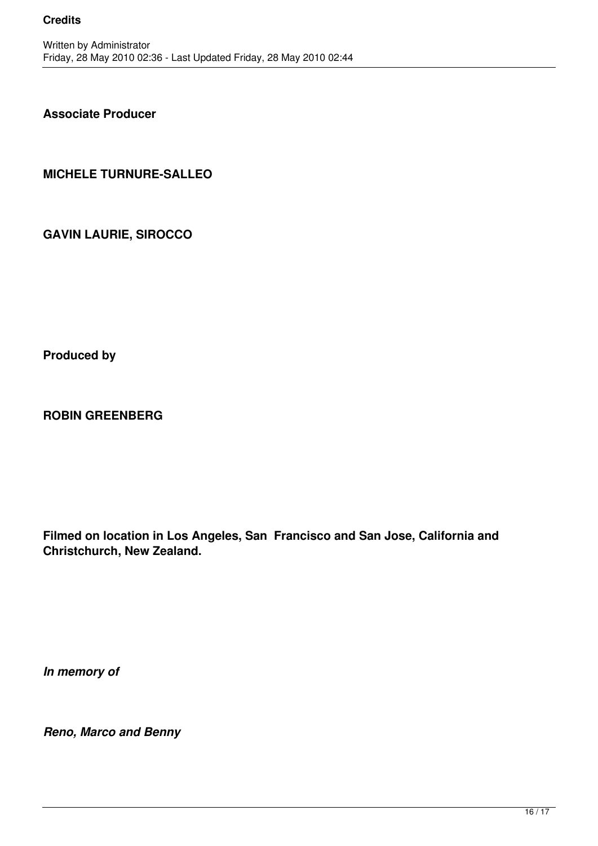**Associate Producer**

**MICHELE TURNURE-SALLEO**

**GAVIN LAURIE, SIROCCO** 

**Produced by**

**ROBIN GREENBERG**

**Filmed on location in Los Angeles, San Francisco and San Jose, California and Christchurch, New Zealand.**

*In memory of* 

*Reno, Marco and Benny*